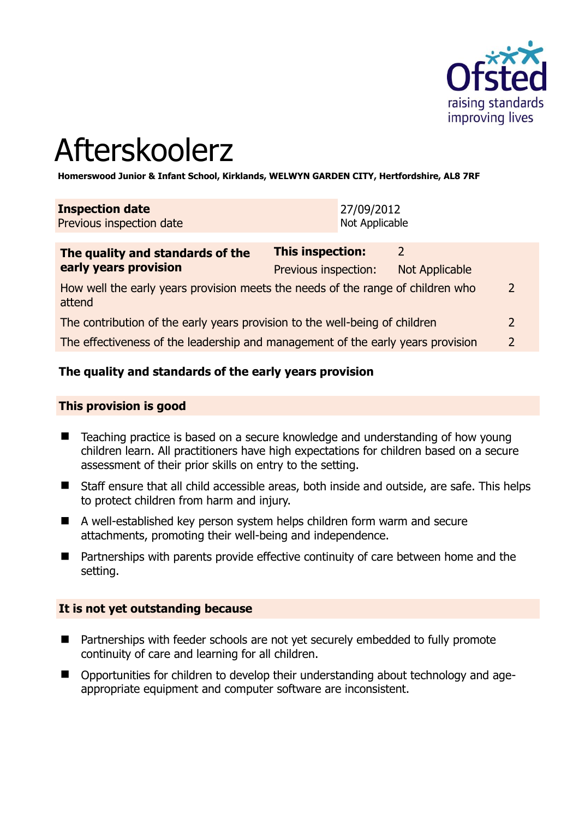

# Afterskoolerz

**Homerswood Junior & Infant School, Kirklands, WELWYN GARDEN CITY, Hertfordshire, AL8 7RF** 

| <b>Inspection date</b>   | 27/09/2012     |
|--------------------------|----------------|
| Previous inspection date | Not Applicable |
|                          |                |

| The quality and standards of the                                                          | <b>This inspection:</b> | 2              |               |
|-------------------------------------------------------------------------------------------|-------------------------|----------------|---------------|
| early years provision                                                                     | Previous inspection:    | Not Applicable |               |
| How well the early years provision meets the needs of the range of children who<br>attend |                         |                | $\mathcal{L}$ |
| The contribution of the early years provision to the well-being of children               |                         |                | $\mathcal{L}$ |
| The effectiveness of the leadership and management of the early years provision           |                         |                | $\mathcal{P}$ |

## **The quality and standards of the early years provision**

#### **This provision is good**

- Teaching practice is based on a secure knowledge and understanding of how young children learn. All practitioners have high expectations for children based on a secure assessment of their prior skills on entry to the setting.
- Staff ensure that all child accessible areas, both inside and outside, are safe. This helps to protect children from harm and injury.
- A well-established key person system helps children form warm and secure attachments, promoting their well-being and independence.
- Partnerships with parents provide effective continuity of care between home and the setting.

#### **It is not yet outstanding because**

- Partnerships with feeder schools are not yet securely embedded to fully promote continuity of care and learning for all children.
- Opportunities for children to develop their understanding about technology and ageappropriate equipment and computer software are inconsistent.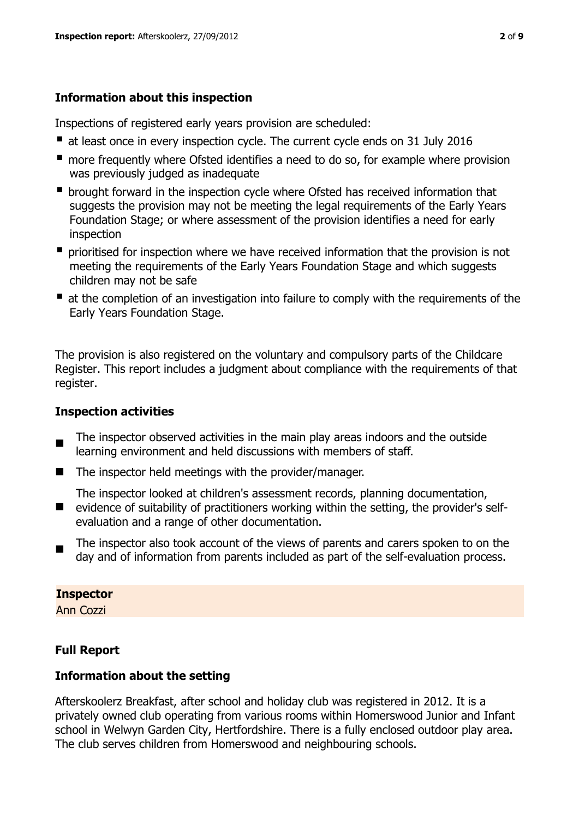## **Information about this inspection**

Inspections of registered early years provision are scheduled:

- at least once in every inspection cycle. The current cycle ends on 31 July 2016
- **n** more frequently where Ofsted identifies a need to do so, for example where provision was previously judged as inadequate
- **•** brought forward in the inspection cycle where Ofsted has received information that suggests the provision may not be meeting the legal requirements of the Early Years Foundation Stage; or where assessment of the provision identifies a need for early inspection
- **P** prioritised for inspection where we have received information that the provision is not meeting the requirements of the Early Years Foundation Stage and which suggests children may not be safe
- at the completion of an investigation into failure to comply with the requirements of the Early Years Foundation Stage.

The provision is also registered on the voluntary and compulsory parts of the Childcare Register. This report includes a judgment about compliance with the requirements of that register.

# **Inspection activities**

- $\blacksquare$ The inspector observed activities in the main play areas indoors and the outside learning environment and held discussions with members of staff.
- $\blacksquare$  The inspector held meetings with the provider/manager.

The inspector looked at children's assessment records, planning documentation,

- **E** evidence of suitability of practitioners working within the setting, the provider's selfevaluation and a range of other documentation.
- $\blacksquare$ The inspector also took account of the views of parents and carers spoken to on the day and of information from parents included as part of the self-evaluation process.

#### **Inspector**

Ann Cozzi

# **Full Report**

## **Information about the setting**

Afterskoolerz Breakfast, after school and holiday club was registered in 2012. It is a privately owned club operating from various rooms within Homerswood Junior and Infant school in Welwyn Garden City, Hertfordshire. There is a fully enclosed outdoor play area. The club serves children from Homerswood and neighbouring schools.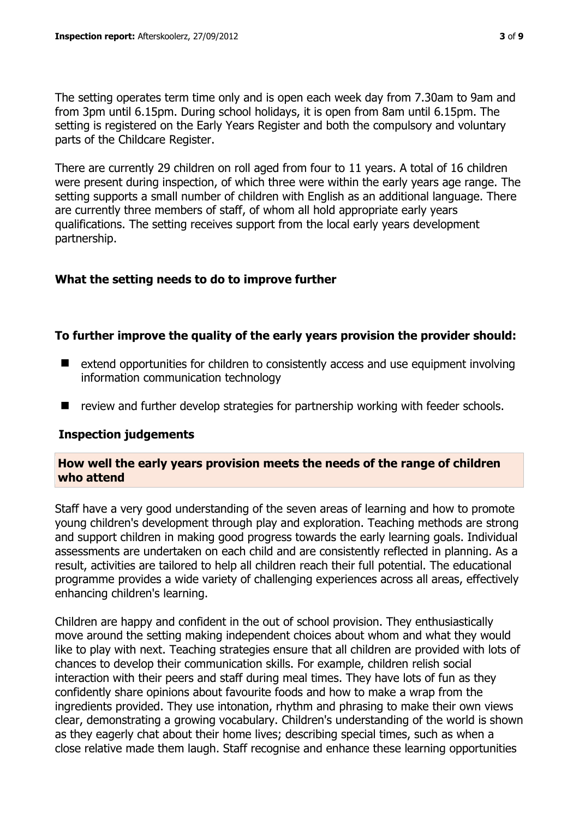The setting operates term time only and is open each week day from 7.30am to 9am and from 3pm until 6.15pm. During school holidays, it is open from 8am until 6.15pm. The setting is registered on the Early Years Register and both the compulsory and voluntary parts of the Childcare Register.

There are currently 29 children on roll aged from four to 11 years. A total of 16 children were present during inspection, of which three were within the early years age range. The setting supports a small number of children with English as an additional language. There are currently three members of staff, of whom all hold appropriate early years qualifications. The setting receives support from the local early years development partnership.

## **What the setting needs to do to improve further**

## **To further improve the quality of the early years provision the provider should:**

- extend opportunities for children to consistently access and use equipment involving information communication technology
- $\blacksquare$  review and further develop strategies for partnership working with feeder schools.

#### **Inspection judgements**

#### **How well the early years provision meets the needs of the range of children who attend**

Staff have a very good understanding of the seven areas of learning and how to promote young children's development through play and exploration. Teaching methods are strong and support children in making good progress towards the early learning goals. Individual assessments are undertaken on each child and are consistently reflected in planning. As a result, activities are tailored to help all children reach their full potential. The educational programme provides a wide variety of challenging experiences across all areas, effectively enhancing children's learning.

Children are happy and confident in the out of school provision. They enthusiastically move around the setting making independent choices about whom and what they would like to play with next. Teaching strategies ensure that all children are provided with lots of chances to develop their communication skills. For example, children relish social interaction with their peers and staff during meal times. They have lots of fun as they confidently share opinions about favourite foods and how to make a wrap from the ingredients provided. They use intonation, rhythm and phrasing to make their own views clear, demonstrating a growing vocabulary. Children's understanding of the world is shown as they eagerly chat about their home lives; describing special times, such as when a close relative made them laugh. Staff recognise and enhance these learning opportunities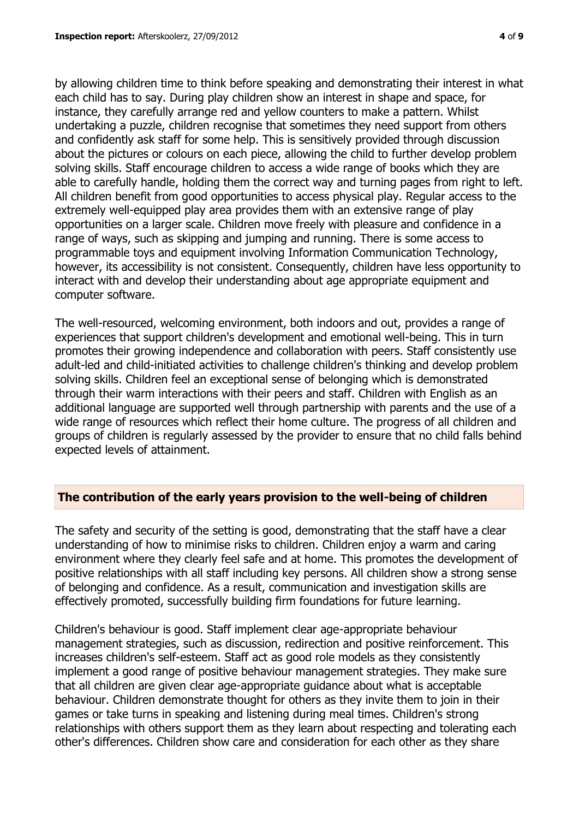by allowing children time to think before speaking and demonstrating their interest in what each child has to say. During play children show an interest in shape and space, for instance, they carefully arrange red and yellow counters to make a pattern. Whilst undertaking a puzzle, children recognise that sometimes they need support from others and confidently ask staff for some help. This is sensitively provided through discussion about the pictures or colours on each piece, allowing the child to further develop problem solving skills. Staff encourage children to access a wide range of books which they are able to carefully handle, holding them the correct way and turning pages from right to left. All children benefit from good opportunities to access physical play. Regular access to the extremely well-equipped play area provides them with an extensive range of play opportunities on a larger scale. Children move freely with pleasure and confidence in a range of ways, such as skipping and jumping and running. There is some access to programmable toys and equipment involving Information Communication Technology, however, its accessibility is not consistent. Consequently, children have less opportunity to interact with and develop their understanding about age appropriate equipment and computer software.

The well-resourced, welcoming environment, both indoors and out, provides a range of experiences that support children's development and emotional well-being. This in turn promotes their growing independence and collaboration with peers. Staff consistently use adult-led and child-initiated activities to challenge children's thinking and develop problem solving skills. Children feel an exceptional sense of belonging which is demonstrated through their warm interactions with their peers and staff. Children with English as an additional language are supported well through partnership with parents and the use of a wide range of resources which reflect their home culture. The progress of all children and groups of children is regularly assessed by the provider to ensure that no child falls behind expected levels of attainment.

#### **The contribution of the early years provision to the well-being of children**

The safety and security of the setting is good, demonstrating that the staff have a clear understanding of how to minimise risks to children. Children enjoy a warm and caring environment where they clearly feel safe and at home. This promotes the development of positive relationships with all staff including key persons. All children show a strong sense of belonging and confidence. As a result, communication and investigation skills are effectively promoted, successfully building firm foundations for future learning.

Children's behaviour is good. Staff implement clear age-appropriate behaviour management strategies, such as discussion, redirection and positive reinforcement. This increases children's self-esteem. Staff act as good role models as they consistently implement a good range of positive behaviour management strategies. They make sure that all children are given clear age-appropriate guidance about what is acceptable behaviour. Children demonstrate thought for others as they invite them to join in their games or take turns in speaking and listening during meal times. Children's strong relationships with others support them as they learn about respecting and tolerating each other's differences. Children show care and consideration for each other as they share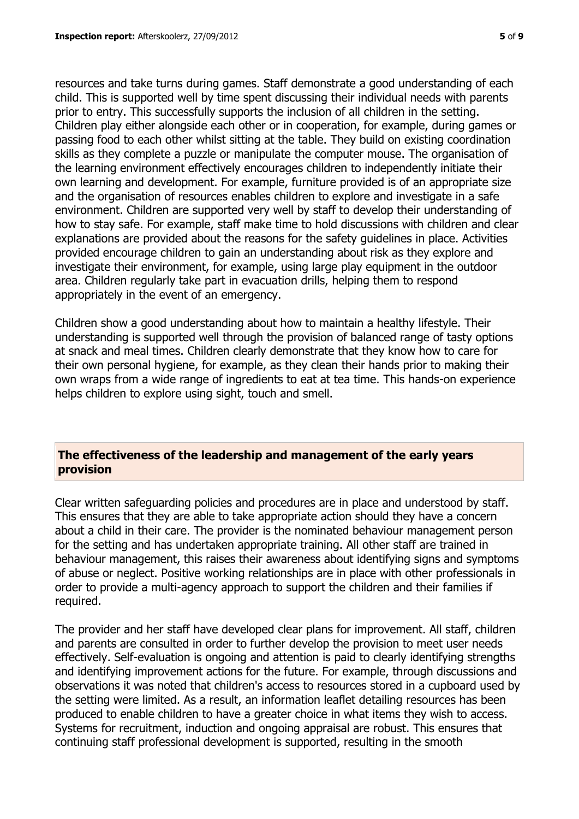resources and take turns during games. Staff demonstrate a good understanding of each child. This is supported well by time spent discussing their individual needs with parents prior to entry. This successfully supports the inclusion of all children in the setting. Children play either alongside each other or in cooperation, for example, during games or passing food to each other whilst sitting at the table. They build on existing coordination skills as they complete a puzzle or manipulate the computer mouse. The organisation of the learning environment effectively encourages children to independently initiate their own learning and development. For example, furniture provided is of an appropriate size and the organisation of resources enables children to explore and investigate in a safe environment. Children are supported very well by staff to develop their understanding of how to stay safe. For example, staff make time to hold discussions with children and clear explanations are provided about the reasons for the safety guidelines in place. Activities provided encourage children to gain an understanding about risk as they explore and investigate their environment, for example, using large play equipment in the outdoor

area. Children regularly take part in evacuation drills, helping them to respond appropriately in the event of an emergency.

Children show a good understanding about how to maintain a healthy lifestyle. Their understanding is supported well through the provision of balanced range of tasty options at snack and meal times. Children clearly demonstrate that they know how to care for their own personal hygiene, for example, as they clean their hands prior to making their own wraps from a wide range of ingredients to eat at tea time. This hands-on experience helps children to explore using sight, touch and smell.

## **The effectiveness of the leadership and management of the early years provision**

Clear written safeguarding policies and procedures are in place and understood by staff. This ensures that they are able to take appropriate action should they have a concern about a child in their care. The provider is the nominated behaviour management person for the setting and has undertaken appropriate training. All other staff are trained in behaviour management, this raises their awareness about identifying signs and symptoms of abuse or neglect. Positive working relationships are in place with other professionals in order to provide a multi-agency approach to support the children and their families if required.

The provider and her staff have developed clear plans for improvement. All staff, children and parents are consulted in order to further develop the provision to meet user needs effectively. Self-evaluation is ongoing and attention is paid to clearly identifying strengths and identifying improvement actions for the future. For example, through discussions and observations it was noted that children's access to resources stored in a cupboard used by the setting were limited. As a result, an information leaflet detailing resources has been produced to enable children to have a greater choice in what items they wish to access. Systems for recruitment, induction and ongoing appraisal are robust. This ensures that continuing staff professional development is supported, resulting in the smooth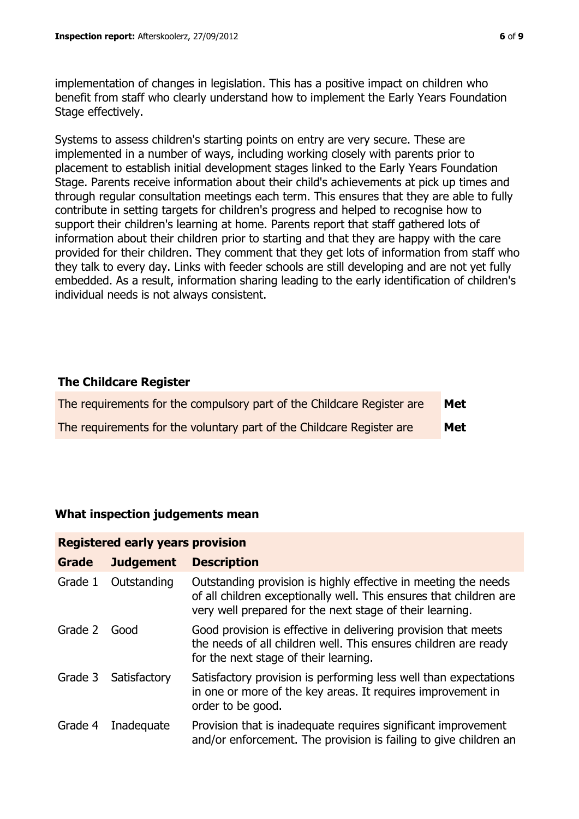implementation of changes in legislation. This has a positive impact on children who benefit from staff who clearly understand how to implement the Early Years Foundation Stage effectively.

Systems to assess children's starting points on entry are very secure. These are implemented in a number of ways, including working closely with parents prior to placement to establish initial development stages linked to the Early Years Foundation Stage. Parents receive information about their child's achievements at pick up times and through regular consultation meetings each term. This ensures that they are able to fully contribute in setting targets for children's progress and helped to recognise how to support their children's learning at home. Parents report that staff gathered lots of information about their children prior to starting and that they are happy with the care provided for their children. They comment that they get lots of information from staff who they talk to every day. Links with feeder schools are still developing and are not yet fully embedded. As a result, information sharing leading to the early identification of children's individual needs is not always consistent.

## **The Childcare Register**

| The requirements for the compulsory part of the Childcare Register are | <b>Met</b> |
|------------------------------------------------------------------------|------------|
| The requirements for the voluntary part of the Childcare Register are  | Met        |

## **What inspection judgements mean**

| <b>Registered early years provision</b> |                  |                                                                                                                                                                                                  |  |
|-----------------------------------------|------------------|--------------------------------------------------------------------------------------------------------------------------------------------------------------------------------------------------|--|
| <b>Grade</b>                            | <b>Judgement</b> | <b>Description</b>                                                                                                                                                                               |  |
| Grade 1                                 | Outstanding      | Outstanding provision is highly effective in meeting the needs<br>of all children exceptionally well. This ensures that children are<br>very well prepared for the next stage of their learning. |  |
| Grade 2                                 | Good             | Good provision is effective in delivering provision that meets<br>the needs of all children well. This ensures children are ready<br>for the next stage of their learning.                       |  |
| Grade 3                                 | Satisfactory     | Satisfactory provision is performing less well than expectations<br>in one or more of the key areas. It requires improvement in<br>order to be good.                                             |  |
| Grade 4                                 | Inadequate       | Provision that is inadequate requires significant improvement<br>and/or enforcement. The provision is failing to give children an                                                                |  |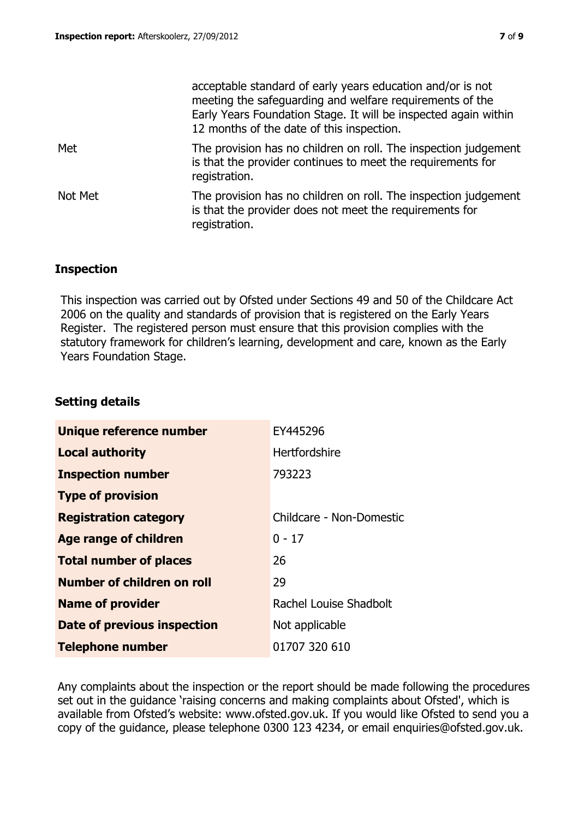|         | acceptable standard of early years education and/or is not<br>meeting the safeguarding and welfare requirements of the<br>Early Years Foundation Stage. It will be inspected again within<br>12 months of the date of this inspection. |
|---------|----------------------------------------------------------------------------------------------------------------------------------------------------------------------------------------------------------------------------------------|
| Met     | The provision has no children on roll. The inspection judgement<br>is that the provider continues to meet the requirements for<br>registration.                                                                                        |
| Not Met | The provision has no children on roll. The inspection judgement<br>is that the provider does not meet the requirements for<br>registration.                                                                                            |

## **Inspection**

This inspection was carried out by Ofsted under Sections 49 and 50 of the Childcare Act 2006 on the quality and standards of provision that is registered on the Early Years Register. The registered person must ensure that this provision complies with the statutory framework for children's learning, development and care, known as the Early Years Foundation Stage.

## **Setting details**

| Unique reference number       | EY445296                 |
|-------------------------------|--------------------------|
| <b>Local authority</b>        | Hertfordshire            |
| <b>Inspection number</b>      | 793223                   |
| <b>Type of provision</b>      |                          |
| <b>Registration category</b>  | Childcare - Non-Domestic |
| Age range of children         | $0 - 17$                 |
| <b>Total number of places</b> | 26                       |
| Number of children on roll    | 29                       |
| <b>Name of provider</b>       | Rachel Louise Shadbolt   |
| Date of previous inspection   | Not applicable           |
| <b>Telephone number</b>       | 01707 320 610            |

Any complaints about the inspection or the report should be made following the procedures set out in the guidance 'raising concerns and making complaints about Ofsted', which is available from Ofsted's website: www.ofsted.gov.uk. If you would like Ofsted to send you a copy of the guidance, please telephone 0300 123 4234, or email enquiries@ofsted.gov.uk.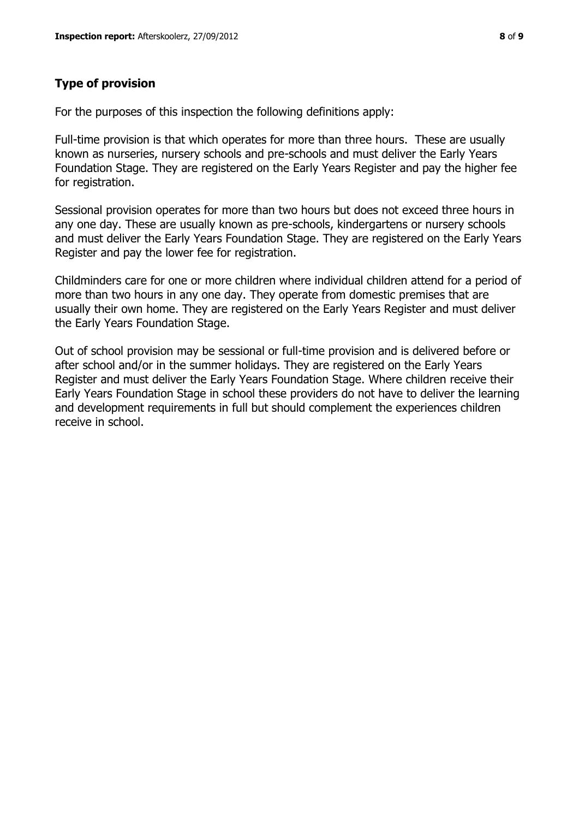For the purposes of this inspection the following definitions apply:

Full-time provision is that which operates for more than three hours. These are usually known as nurseries, nursery schools and pre-schools and must deliver the Early Years Foundation Stage. They are registered on the Early Years Register and pay the higher fee for registration.

Sessional provision operates for more than two hours but does not exceed three hours in any one day. These are usually known as pre-schools, kindergartens or nursery schools and must deliver the Early Years Foundation Stage. They are registered on the Early Years Register and pay the lower fee for registration.

Childminders care for one or more children where individual children attend for a period of more than two hours in any one day. They operate from domestic premises that are usually their own home. They are registered on the Early Years Register and must deliver the Early Years Foundation Stage.

Out of school provision may be sessional or full-time provision and is delivered before or after school and/or in the summer holidays. They are registered on the Early Years Register and must deliver the Early Years Foundation Stage. Where children receive their Early Years Foundation Stage in school these providers do not have to deliver the learning and development requirements in full but should complement the experiences children receive in school.